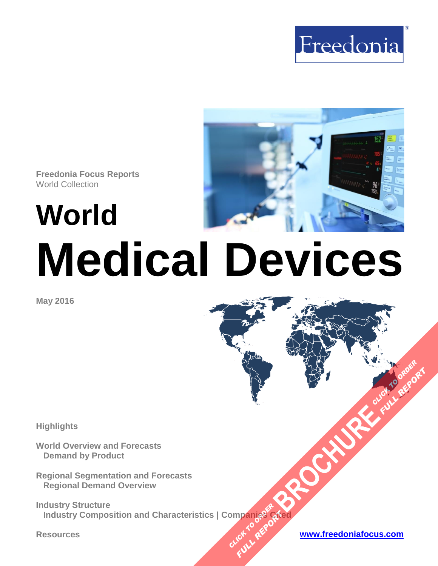



# **World Medical Devices**

**May 2016**

**Highlights**

**World Overview and Forecasts Demand by Product**

**Regional Segmentation and Forecasts Regional Demand Overview**

**Industry Structure Industry Composition and Characteristics | Companies Cited [BROCHURE](http://www.freedoniagroup.com/FocusDetails.aspx?ReferrerId=FM-FocusBro&ReportID=FW40062) CLICK TO ORDER OMPanjages Place of the PLACE REPORT:** 

**Resources [www.freedoniafocus.com](http://www.freedoniagroup.com/FocusReports.aspx?ReferrerId=FM-FocusBro)**

**FULL REPORT**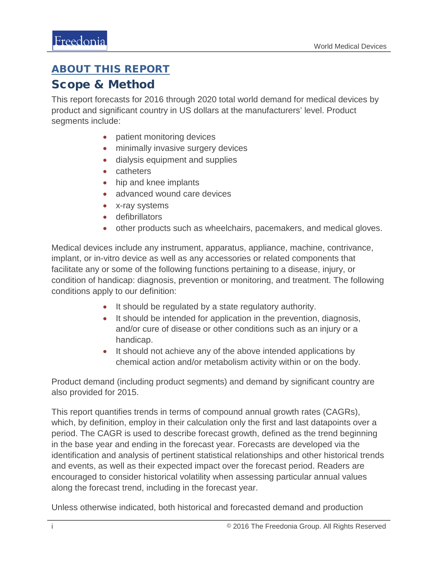# <span id="page-1-0"></span>ABOUT THIS REPORT

## Scope & Method

This report forecasts for 2016 through 2020 total world demand for medical devices by product and significant country in US dollars at the manufacturers' level. Product segments include:

- patient monitoring devices
- minimally invasive surgery devices
- dialysis equipment and supplies
- catheters
- hip and knee implants
- advanced wound care devices
- x-ray systems
- defibrillators
- other products such as wheelchairs, pacemakers, and medical gloves.

Medical devices include any instrument, apparatus, appliance, machine, contrivance, implant, or in-vitro device as well as any accessories or related components that facilitate any or some of the following functions pertaining to a disease, injury, or condition of handicap: diagnosis, prevention or monitoring, and treatment. The following conditions apply to our definition:

- It should be regulated by a state regulatory authority.
- It should be intended for application in the prevention, diagnosis, and/or cure of disease or other conditions such as an injury or a handicap.
- It should not achieve any of the above intended applications by chemical action and/or metabolism activity within or on the body.

Product demand (including product segments) and demand by significant country are also provided for 2015.

This report quantifies trends in terms of compound annual growth rates (CAGRs), which, by definition, employ in their calculation only the first and last datapoints over a period. The CAGR is used to describe forecast growth, defined as the trend beginning in the base year and ending in the forecast year. Forecasts are developed via the identification and analysis of pertinent statistical relationships and other historical trends and events, as well as their expected impact over the forecast period. Readers are encouraged to consider historical volatility when assessing particular annual values along the forecast trend, including in the forecast year.

Unless otherwise indicated, both historical and forecasted demand and production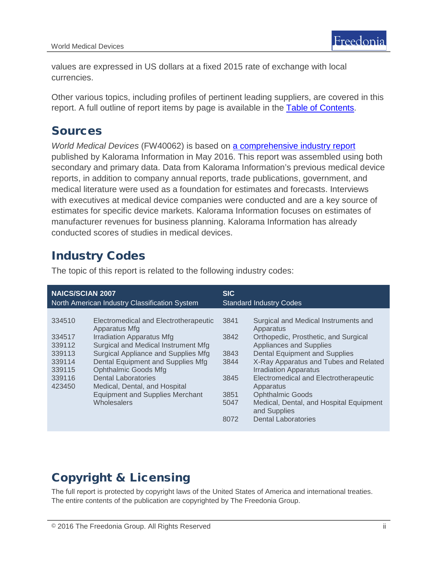values are expressed in US dollars at a fixed 2015 rate of exchange with local currencies.

Other various topics, including profiles of pertinent leading suppliers, are covered in this report. A full outline of report items by page is available in the [Table of Contents.](#page-3-0)

## Sources

*World Medical Devices* (FW40062) is based on [a comprehensive industry report](http://www.kaloramainformation.com/Global-Medical-Devices-10058730/) published by Kalorama Information in May 2016. This report was assembled using both secondary and primary data. Data from Kalorama Information's previous medical device reports, in addition to company annual reports, trade publications, government, and medical literature were used as a foundation for estimates and forecasts. Interviews with executives at medical device companies were conducted and are a key source of estimates for specific device markets. Kalorama Information focuses on estimates of manufacturer revenues for business planning. Kalorama Information has already conducted scores of studies in medical devices.

# Industry Codes

| <b>NAICS/SCIAN 2007</b>                                                      |                                                                                                                                                                                                                                                                                                                                                                             | <b>SIC</b>                                                   |                                                                                                                                                                                                                                                                                                                                                                                                                        |
|------------------------------------------------------------------------------|-----------------------------------------------------------------------------------------------------------------------------------------------------------------------------------------------------------------------------------------------------------------------------------------------------------------------------------------------------------------------------|--------------------------------------------------------------|------------------------------------------------------------------------------------------------------------------------------------------------------------------------------------------------------------------------------------------------------------------------------------------------------------------------------------------------------------------------------------------------------------------------|
| North American Industry Classification System                                |                                                                                                                                                                                                                                                                                                                                                                             | <b>Standard Industry Codes</b>                               |                                                                                                                                                                                                                                                                                                                                                                                                                        |
| 334510<br>334517<br>339112<br>339113<br>339114<br>339115<br>339116<br>423450 | Electromedical and Electrotherapeutic<br>Apparatus Mfg<br><b>Irradiation Apparatus Mfg</b><br>Surgical and Medical Instrument Mfg<br>Surgical Appliance and Supplies Mfg<br>Dental Equipment and Supplies Mfg<br><b>Ophthalmic Goods Mfg</b><br><b>Dental Laboratories</b><br>Medical, Dental, and Hospital<br><b>Equipment and Supplies Merchant</b><br><b>Wholesalers</b> | 3841<br>3842<br>3843<br>3844<br>3845<br>3851<br>5047<br>8072 | Surgical and Medical Instruments and<br>Apparatus<br>Orthopedic, Prosthetic, and Surgical<br><b>Appliances and Supplies</b><br><b>Dental Equipment and Supplies</b><br>X-Ray Apparatus and Tubes and Related<br><b>Irradiation Apparatus</b><br>Electromedical and Electrotherapeutic<br>Apparatus<br><b>Ophthalmic Goods</b><br>Medical, Dental, and Hospital Equipment<br>and Supplies<br><b>Dental Laboratories</b> |

The topic of this report is related to the following industry codes:

# Copyright & Licensing

The full report is protected by copyright laws of the United States of America and international treaties. The entire contents of the publication are copyrighted by The Freedonia Group.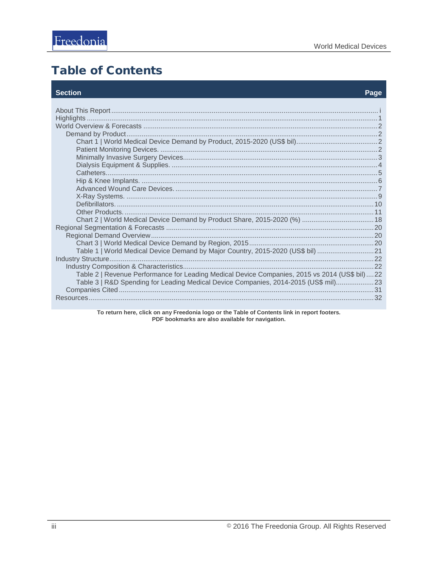# <span id="page-3-0"></span>**Table of Contents**

#### **Section**

#### Page

| Table 1   World Medical Device Demand by Major Country, 2015-2020 (US\$ bil)  21              |  |
|-----------------------------------------------------------------------------------------------|--|
|                                                                                               |  |
|                                                                                               |  |
| Table 2   Revenue Performance for Leading Medical Device Companies, 2015 vs 2014 (US\$ bil)22 |  |
| Table 3   R&D Spending for Leading Medical Device Companies, 2014-2015 (US\$ mil)23           |  |
|                                                                                               |  |
|                                                                                               |  |
|                                                                                               |  |

To return here, click on any Freedonia logo or the Table of Contents link in report footers.<br>PDF bookmarks are also available for navigation.